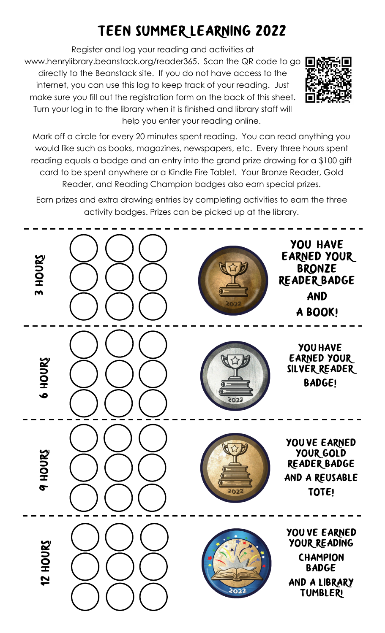# TEEN SUMMER LEARNING 2022

Register and log your reading and activities at www.henrylibrary.beanstack.org/reader365. Scan the QR code to go directly to the Beanstack site. If you do not have access to the internet, you can use this log to keep track of your reading. Just make sure you fill out the registration form on the back of this sheet. Turn your log in to the library when it is finished and library staff will help you enter your reading online.



Mark off a circle for every 20 minutes spent reading. You can read anything you would like such as books, magazines, newspapers, etc. Every three hours spent reading equals a badge and an entry into the grand prize drawing for a \$100 gift card to be spent anywhere or a Kindle Fire Tablet. Your Bronze Reader, Gold Reader, and Reading Champion badges also earn special prizes.

Earn prizes and extra drawing entries by completing activities to earn the three activity badges. Prizes can be picked up at the library.